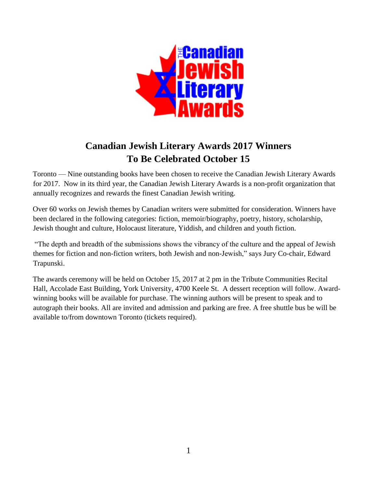

# **Canadian Jewish Literary Awards 2017 Winners To Be Celebrated October 15**

Toronto — Nine outstanding books have been chosen to receive the Canadian Jewish Literary Awards for 2017. Now in its third year, the Canadian Jewish Literary Awards is a non-profit organization that annually recognizes and rewards the finest Canadian Jewish writing.

Over 60 works on Jewish themes by Canadian writers were submitted for consideration. Winners have been declared in the following categories: fiction, memoir/biography, poetry, history, scholarship, Jewish thought and culture, Holocaust literature, Yiddish, and children and youth fiction.

"The depth and breadth of the submissions shows the vibrancy of the culture and the appeal of Jewish themes for fiction and non-fiction writers, both Jewish and non-Jewish," says Jury Co-chair, Edward Trapunski.

The awards ceremony will be held on October 15, 2017 at 2 pm in the Tribute Communities Recital Hall, Accolade East Building, York University, 4700 Keele St. A dessert reception will follow. Awardwinning books will be available for purchase. The winning authors will be present to speak and to autograph their books. All are invited and admission and parking are free. A free shuttle bus be will be available to/from downtown Toronto (tickets required).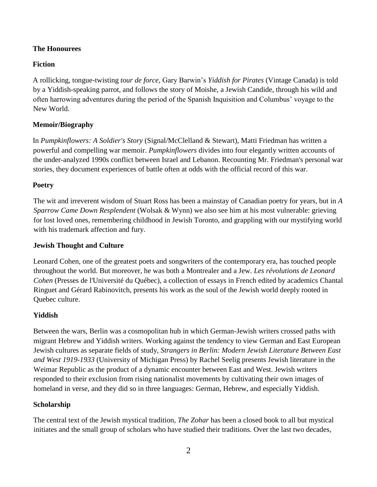# **The Honourees**

## **Fiction**

A rollicking, tongue-twisting *tour de force,* Gary Barwin's *Yiddish for Pirates* (Vintage Canada) is told by a Yiddish-speaking parrot, and follows the story of Moishe, a Jewish Candide, through his wild and often harrowing adventures during the period of the Spanish Inquisition and Columbus' voyage to the New World.

# **Memoir/Biography**

In *Pumpkinflowers: A Soldier's Story* (Signal/McClelland & Stewart), Matti Friedman has written a powerful and compelling war memoir. *Pumpkinflowers* divides into four elegantly written accounts of the under-analyzed 1990s conflict between Israel and Lebanon. Recounting Mr. Friedman's personal war stories, they document experiences of battle often at odds with the official record of this war.

## **Poetry**

The wit and irreverent wisdom of Stuart Ross has been a mainstay of Canadian poetry for years, but in *A Sparrow Came Down Resplendent* (Wolsak & Wynn) we also see him at his most vulnerable: grieving for lost loved ones, remembering childhood in Jewish Toronto, and grappling with our mystifying world with his trademark affection and fury.

### **Jewish Thought and Culture**

Leonard Cohen, one of the greatest poets and songwriters of the contemporary era, has touched people throughout the world. But moreover, he was both a Montrealer and a Jew. *Les révolutions de Leonard Cohen* (Presses de l'Université du Québec)*,* a collection of essays in French edited by academics Chantal Ringuet and Gérard Rabinovitch, presents his work as the soul of the Jewish world deeply rooted in Quebec culture.

#### **Yiddish**

Between the wars, Berlin was a cosmopolitan hub in which German-Jewish writers crossed paths with migrant Hebrew and Yiddish writers. Working against the tendency to view German and East European Jewish cultures as separate fields of study, *Strangers in Berlin: Modern Jewish Literature Between East and West 1919-1933* (University of Michigan Press) by Rachel Seelig presents Jewish literature in the Weimar Republic as the product of a dynamic encounter between East and West. Jewish writers responded to their exclusion from rising nationalist movements by cultivating their own images of homeland in verse, and they did so in three languages: German, Hebrew, and especially Yiddish.

## **Scholarship**

The central text of the Jewish mystical tradition, *The Zohar* has been a closed book to all but mystical initiates and the small group of scholars who have studied their traditions. Over the last two decades,